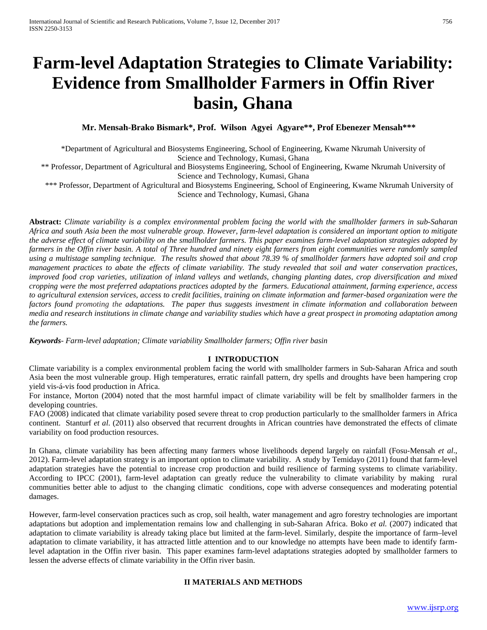# **Farm-level Adaptation Strategies to Climate Variability: Evidence from Smallholder Farmers in Offin River basin, Ghana**

 **Mr. Mensah-Brako Bismark\*, Prof. Wilson Agyei Agyare\*\*, Prof Ebenezer Mensah\*\*\***

\*Department of Agricultural and Biosystems Engineering, School of Engineering, Kwame Nkrumah University of Science and Technology, Kumasi, Ghana

\*\* Professor, Department of Agricultural and Biosystems Engineering, School of Engineering, Kwame Nkrumah University of Science and Technology, Kumasi, Ghana

 \*\*\* Professor, Department of Agricultural and Biosystems Engineering, School of Engineering, Kwame Nkrumah University of Science and Technology, Kumasi, Ghana

**Abstract:** *Climate variability is a complex environmental problem facing the world with the smallholder farmers in sub-Saharan Africa and south Asia been the most vulnerable group. However, farm-level adaptation is considered an important option to mitigate the adverse effect of climate variability on the smallholder farmers. This paper examines farm-level adaptation strategies adopted by farmers in the Offin river basin. A total of Three hundred and ninety eight farmers from eight communities were randomly sampled using a multistage sampling technique. The results showed that about 78.39 % of smallholder farmers have adopted soil and crop management practices to abate the effects of climate variability. The study revealed that soil and water conservation practices, improved food crop varieties, utilization of inland valleys and wetlands, changing planting dates, crop diversification and mixed cropping were the most preferred adaptations practices adopted by the farmers. Educational attainment, farming experience, access to agricultural extension services, access to credit facilities, training on climate information and farmer-based organization were the factors found promoting the adaptations. The paper thus suggests investment in climate information and collaboration between media and research institutions in climate change and variability studies which have a great prospect in promoting adaptation among the farmers.* 

*Keywords- Farm-level adaptation; Climate variability Smallholder farmers; Offin river basin* 

## **I INTRODUCTION**

Climate variability is a complex environmental problem facing the world with smallholder farmers in Sub-Saharan Africa and south Asia been the most vulnerable group. High temperatures, erratic rainfall pattern, dry spells and droughts have been hampering crop yield vis-á-vis food production in Africa.

For instance, Morton (2004) noted that the most harmful impact of climate variability will be felt by smallholder farmers in the developing countries.

FAO (2008) indicated that climate variability posed severe threat to crop production particularly to the smallholder farmers in Africa continent. Stanturf *et al*. (2011) also observed that recurrent droughts in African countries have demonstrated the effects of climate variability on food production resources.

In Ghana, climate variability has been affecting many farmers whose livelihoods depend largely on rainfall (Fosu-Mensah *et al*., 2012). Farm-level adaptation strategy is an important option to climate variability. A study by Temidayo (2011) found that farm-level adaptation strategies have the potential to increase crop production and build resilience of farming systems to climate variability. According to IPCC (2001), farm-level adaptation can greatly reduce the vulnerability to climate variability by making rural communities better able to adjust to the changing climatic conditions, cope with adverse consequences and moderating potential damages.

However, farm-level conservation practices such as crop, soil health, water management and agro forestry technologies are important adaptations but adoption and implementation remains low and challenging in sub-Saharan Africa. Boko *et al.* (2007) indicated that adaptation to climate variability is already taking place but limited at the farm-level. Similarly, despite the importance of farm–level adaptation to climate variability, it has attracted little attention and to our knowledge no attempts have been made to identify farmlevel adaptation in the Offin river basin. This paper examines farm-level adaptations strategies adopted by smallholder farmers to lessen the adverse effects of climate variability in the Offin river basin.

# **II MATERIALS AND METHODS**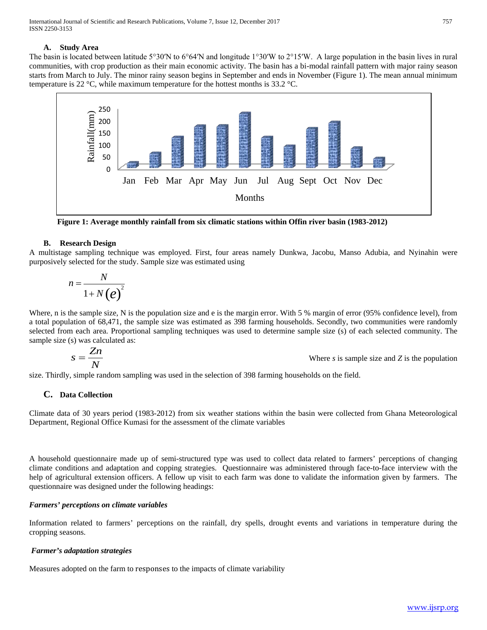## **A. Study Area**

The basin is located between latitude 5°30′N to 6°64′N and longitude 1°30′W to 2°15′W. A large population in the basin lives in rural communities, with crop production as their main economic activity. The basin has a bi-modal rainfall pattern with major rainy season starts from March to July. The minor rainy season begins in September and ends in November (Figure 1). The mean annual minimum temperature is 22  $\degree$ C, while maximum temperature for the hottest months is 33.2  $\degree$ C.



**Figure 1: Average monthly rainfall from six climatic stations within Offin river basin (1983-2012)**

# **B. Research Design**

A multistage sampling technique was employed. First, four areas namely Dunkwa, Jacobu, Manso Adubia, and Nyinahin were purposively selected for the study. Sample size was estimated using

$$
n = \frac{N}{1 + N(e)^2}
$$

Where, n is the sample size, N is the population size and e is the margin error. With 5 % margin of error (95% confidence level), from a total population of 68,471, the sample size was estimated as 398 farming households. Secondly, two communities were randomly selected from each area. Proportional sampling techniques was used to determine sample size (s) of each selected community. The sample size (s) was calculated as:

$$
s = \frac{Zn}{N}
$$
 Where *s* is sample size and *Z* is the population

size. Thirdly, simple random sampling was used in the selection of 398 farming households on the field.

# **C. Data Collection**

Climate data of 30 years period (1983-2012) from six weather stations within the basin were collected from Ghana Meteorological Department, Regional Office Kumasi for the assessment of the climate variables

A household questionnaire made up of semi-structured type was used to collect data related to farmers' perceptions of changing climate conditions and adaptation and copping strategies. Questionnaire was administered through face-to-face interview with the help of agricultural extension officers. A fellow up visit to each farm was done to validate the information given by farmers. The questionnaire was designed under the following headings:

## *Farmers' perceptions on climate variables*

Information related to farmers' perceptions on the rainfall, dry spells, drought events and variations in temperature during the cropping seasons.

## *Farmer's adaptation strategies*

Measures adopted on the farm to responses to the impacts of climate variability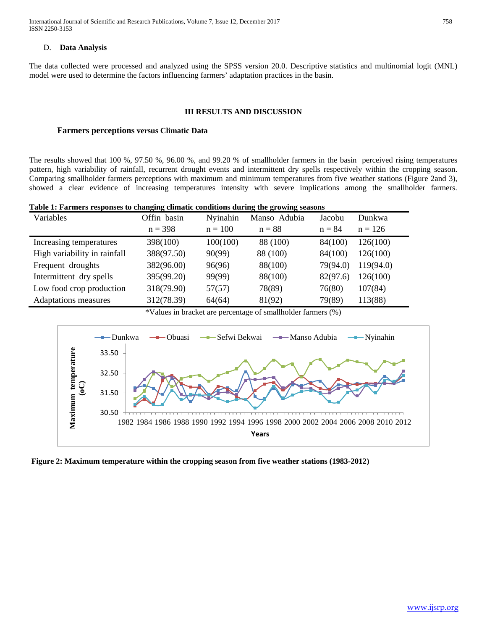International Journal of Scientific and Research Publications, Volume 7, Issue 12, December 2017 758 ISSN 2250-3153

#### D. **Data Analysis**

The data collected were processed and analyzed using the SPSS version 20.0. Descriptive statistics and multinomial logit (MNL) model were used to determine the factors influencing farmers' adaptation practices in the basin.

#### **III RESULTS AND DISCUSSION**

## **Farmers perceptions versus Climatic Data**

The results showed that 100 %, 97.50 %, 96.00 %, and 99.20 % of smallholder farmers in the basin perceived rising temperatures pattern, high variability of rainfall, recurrent drought events and intermittent dry spells respectively within the cropping season. Comparing smallholder farmers perceptions with maximum and minimum temperatures from five weather stations (Figure 2and 3), showed a clear evidence of increasing temperatures intensity with severe implications among the smallholder farmers.

| Table 1: Farmers responses to changing climatic conditions during the growing seasons |  |  |  |  |
|---------------------------------------------------------------------------------------|--|--|--|--|
|                                                                                       |  |  |  |  |

| Variables                    | Offin basin | Nyinahin  | Manso Adubia | Jacobu   | Dunkwa    |
|------------------------------|-------------|-----------|--------------|----------|-----------|
|                              | $n = 398$   | $n = 100$ | $n = 88$     | $n = 84$ | $n = 126$ |
| Increasing temperatures      | 398(100)    | 100(100)  | 88 (100)     | 84(100)  | 126(100)  |
| High variability in rainfall | 388(97.50)  | 90(99)    | 88 (100)     | 84(100)  | 126(100)  |
| Frequent droughts            | 382(96.00)  | 96(96)    | 88(100)      | 79(94.0) | 119(94.0) |
| Intermittent dry spells      | 395(99.20)  | 99(99)    | 88(100)      | 82(97.6) | 126(100)  |
| Low food crop production     | 318(79.90)  | 57(57)    | 78(89)       | 76(80)   | 107(84)   |
| <b>Adaptations</b> measures  | 312(78.39)  | 64(64)    | 81(92)       | 79(89)   | 113(88)   |

\*Values in bracket are percentage of smallholder farmers (%)



**Figure 2: Maximum temperature within the cropping season from five weather stations (1983-2012)**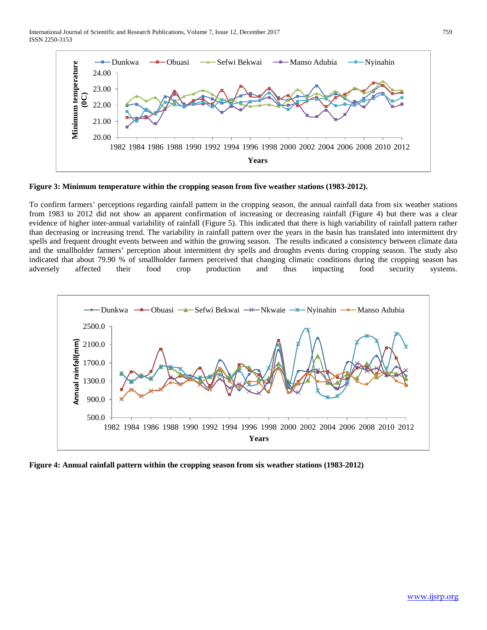International Journal of Scientific and Research Publications, Volume 7, Issue 12, December 2017 759 ISSN 2250-3153



**Figure 3: Minimum temperature within the cropping season from five weather stations (1983-2012).** 

To confirm farmers' perceptions regarding rainfall pattern in the cropping season, the annual rainfall data from six weather stations from 1983 to 2012 did not show an apparent confirmation of increasing or decreasing rainfall (Figure 4) but there was a clear evidence of higher inter-annual variability of rainfall (Figure 5). This indicated that there is high variability of rainfall pattern rather than decreasing or increasing trend. The variability in rainfall pattern over the years in the basin has translated into intermittent dry spells and frequent drought events between and within the growing season. The results indicated a consistency between climate data and the smallholder farmers' perception about intermittent dry spells and droughts events during cropping season. The study also indicated that about 79.90 % of smallholder farmers perceived that changing climatic conditions during the cropping season has adversely affected their food crop production and thus impacting food security systems.



**Figure 4: Annual rainfall pattern within the cropping season from six weather stations (1983-2012)**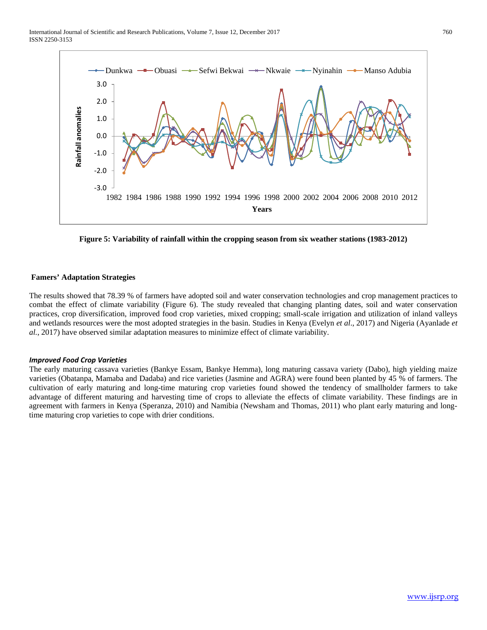

**Figure 5: Variability of rainfall within the cropping season from six weather stations (1983-2012)**

# **Famers' Adaptation Strategies**

The results showed that 78.39 % of farmers have adopted soil and water conservation technologies and crop management practices to combat the effect of climate variability (Figure 6). The study revealed that changing planting dates, soil and water conservation practices, crop diversification, improved food crop varieties, mixed cropping; small-scale irrigation and utilization of inland valleys and wetlands resources were the most adopted strategies in the basin. Studies in Kenya (Evelyn *et al*., 2017) and Nigeria (Ayanlade *et al.*, 2017) have observed similar adaptation measures to minimize effect of climate variability.

## *Improved Food Crop Varieties*

The early maturing cassava varieties (Bankye Essam, Bankye Hemma), long maturing cassava variety (Dabo), high yielding maize varieties (Obatanpa, Mamaba and Dadaba) and rice varieties (Jasmine and AGRA) were found been planted by 45 % of farmers. The cultivation of early maturing and long-time maturing crop varieties found showed the tendency of smallholder farmers to take advantage of different maturing and harvesting time of crops to alleviate the effects of climate variability. These findings are in agreement with farmers in Kenya (Speranza, 2010) and Namibia (Newsham and Thomas, 2011) who plant early maturing and longtime maturing crop varieties to cope with drier conditions.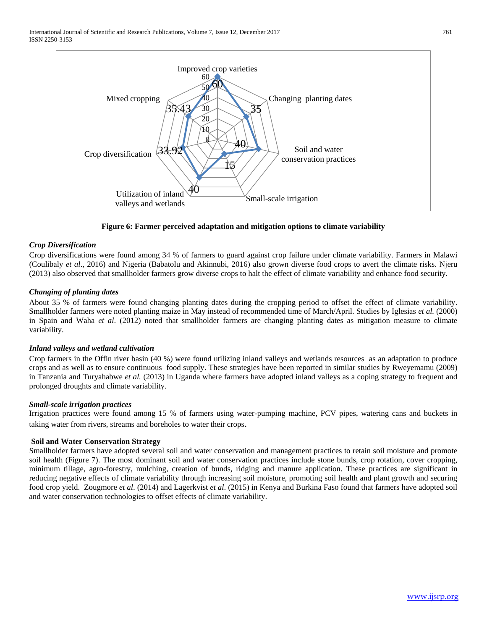

**Figure 6: Farmer perceived adaptation and mitigation options to climate variability**

# *Crop Diversification*

Crop diversifications were found among 34 % of farmers to guard against crop failure under climate variability. Farmers in Malawi (Coulibaly *et al*., 2016) and Nigeria (Babatolu and Akinnubi, 2016) also grown diverse food crops to avert the climate risks. Njeru (2013) also observed that smallholder farmers grow diverse crops to halt the effect of climate variability and enhance food security.

# *Changing of planting dates*

About 35 % of farmers were found changing planting dates during the cropping period to offset the effect of climate variability. Smallholder farmers were noted planting maize in May instead of recommended time of March/April. Studies by Iglesias *et al.* (2000) in Spain and Waha *et al*. (2012) noted that smallholder farmers are changing planting dates as mitigation measure to climate variability.

## *Inland valleys and wetland cultivation*

Crop farmers in the Offin river basin (40 %) were found utilizing inland valleys and wetlands resources as an adaptation to produce crops and as well as to ensure continuous food supply. These strategies have been reported in similar studies by Rweyemamu (2009) in Tanzania and Turyahabwe *et al.* (2013) in Uganda where farmers have adopted inland valleys as a coping strategy to frequent and prolonged droughts and climate variability.

## *Small-scale irrigation practices*

Irrigation practices were found among 15 % of farmers using water-pumping machine, PCV pipes, watering cans and buckets in taking water from rivers, streams and boreholes to water their crops.

## **Soil and Water Conservation Strategy**

Smallholder farmers have adopted several soil and water conservation and management practices to retain soil moisture and promote soil health (Figure 7). The most dominant soil and water conservation practices include stone bunds, crop rotation, cover cropping, minimum tillage, agro-forestry, mulching, creation of bunds, ridging and manure application. These practices are significant in reducing negative effects of climate variability through increasing soil moisture, promoting soil health and plant growth and securing food crop yield. Zougmore *et al*. (2014) and Lagerkvist *et al*. (2015) in Kenya and Burkina Faso found that farmers have adopted soil and water conservation technologies to offset effects of climate variability.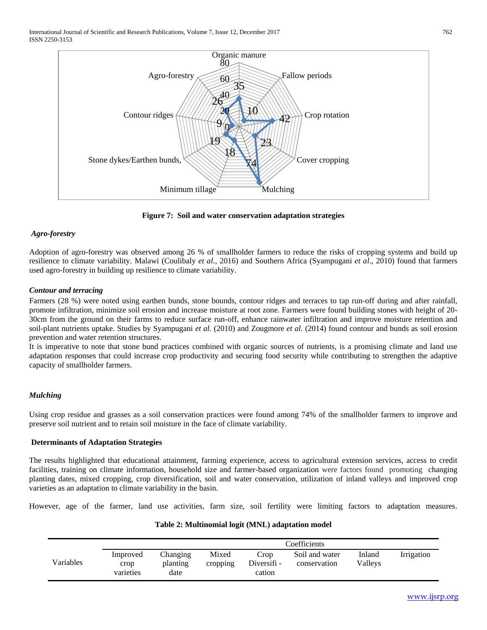

**Figure 7: Soil and water conservation adaptation strategies**

# *Agro-forestry*

Adoption of agro-forestry was observed among 26 % of smallholder farmers to reduce the risks of cropping systems and build up resilience to climate variability. Malawi (Coulibaly *et al*., 2016) and Southern Africa (Syampugani *et al*., 2010) found that farmers used agro-forestry in building up resilience to climate variability.

# *Contour and terracing*

Farmers (28 %) were noted using earthen bunds, stone bounds, contour ridges and terraces to tap run-off during and after rainfall, promote infiltration, minimize soil erosion and increase moisture at root zone. Farmers were found building stones with height of 20- 30cm from the ground on their farms to reduce surface run-off, enhance rainwater infiltration and improve moisture retention and soil-plant nutrients uptake. Studies by Syampugani *et al*. (2010) and Zougmore *et al*. (2014) found contour and bunds as soil erosion prevention and water retention structures.

It is imperative to note that stone bund practices combined with organic sources of nutrients, is a promising climate and land use adaptation responses that could increase crop productivity and securing food security while contributing to strengthen the adaptive capacity of smallholder farmers.

# *Mulching*

Using crop residue and grasses as a soil conservation practices were found among 74% of the smallholder farmers to improve and preserve soil nutrient and to retain soil moisture in the face of climate variability.

## **Determinants of Adaptation Strategies**

The results highlighted that educational attainment, farming experience, access to agricultural extension services, access to credit facilities, training on climate information, household size and farmer-based organization were factors found promoting changing planting dates, mixed cropping, crop diversification, soil and water conservation, utilization of inland valleys and improved crop varieties as an adaptation to climate variability in the basin.

However, age of the farmer, land use activities, farm size, soil fertility were limiting factors to adaptation measures.

## **Table 2: Multinomial logit (MNL) adaptation model**

|           | Coefficients                  |                              |                   |                               |                                |                   |            |  |  |
|-----------|-------------------------------|------------------------------|-------------------|-------------------------------|--------------------------------|-------------------|------------|--|--|
| Variables | Improved<br>crop<br>varieties | Changing<br>planting<br>date | Mixed<br>cropping | Crop<br>Diversifi -<br>cation | Soil and water<br>conservation | Inland<br>Vallevs | Irrigation |  |  |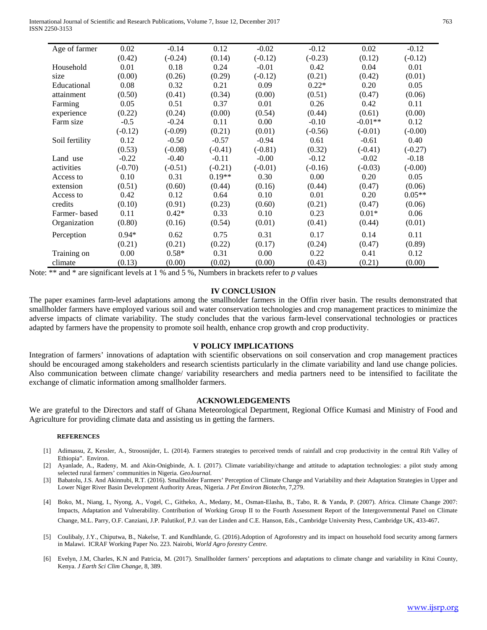International Journal of Scientific and Research Publications, Volume 7, Issue 12, December 2017 763 ISSN 2250-3153

| Age of farmer  | 0.02      | $-0.14$   | 0.12      | $-0.02$   | $-0.12$   | 0.02      | $-0.12$   |
|----------------|-----------|-----------|-----------|-----------|-----------|-----------|-----------|
|                | (0.42)    | $(-0.24)$ | (0.14)    | $(-0.12)$ | $(-0.23)$ | (0.12)    | $(-0.12)$ |
| Household      | 0.01      | 0.18      | 0.24      | $-0.01$   | 0.42      | 0.04      | 0.01      |
| size           | (0.00)    | (0.26)    | (0.29)    | $(-0.12)$ | (0.21)    | (0.42)    | (0.01)    |
| Educational    | 0.08      | 0.32      | 0.21      | 0.09      | $0.22*$   | 0.20      | 0.05      |
| attainment     | (0.50)    | (0.41)    | (0.34)    | (0.00)    | (0.51)    | (0.47)    | (0.06)    |
| Farming        | 0.05      | 0.51      | 0.37      | 0.01      | 0.26      | 0.42      | 0.11      |
| experience     | (0.22)    | (0.24)    | (0.00)    | (0.54)    | (0.44)    | (0.61)    | (0.00)    |
| Farm size      | $-0.5$    | $-0.24$   | 0.11      | 0.00      | $-0.10$   | $-0.01**$ | 0.12      |
|                | $(-0.12)$ | $(-0.09)$ | (0.21)    | (0.01)    | $(-0.56)$ | $(-0.01)$ | $(-0.00)$ |
| Soil fertility | 0.12      | $-0.50$   | $-0.57$   | $-0.94$   | 0.61      | $-0.61$   | 0.40      |
|                | (0.53)    | $(-0.08)$ | $(-0.41)$ | $(-0.81)$ | (0.32)    | $(-0.41)$ | $(-0.27)$ |
| Land use       | $-0.22$   | $-0.40$   | $-0.11$   | $-0.00$   | $-0.12$   | $-0.02$   | $-0.18$   |
| activities     | $(-0.70)$ | $(-0.51)$ | $(-0.21)$ | $(-0.01)$ | $(-0.16)$ | $(-0.03)$ | $(-0.00)$ |
| Access to      | 0.10      | 0.31      | $0.19**$  | 0.30      | 0.00      | 0.20      | 0.05      |
| extension      | (0.51)    | (0.60)    | (0.44)    | (0.16)    | (0.44)    | (0.47)    | (0.06)    |
| Access to      | 0.42      | 0.12      | 0.64      | 0.10      | 0.01      | 0.20      | $0.05**$  |
| credits        | (0.10)    | (0.91)    | (0.23)    | (0.60)    | (0.21)    | (0.47)    | (0.06)    |
| Farmer-based   | 0.11      | $0.42*$   | 0.33      | 0.10      | 0.23      | $0.01*$   | 0.06      |
| Organization   | (0.80)    | (0.16)    | (0.54)    | (0.01)    | (0.41)    | (0.44)    | (0.01)    |
| Perception     | $0.94*$   | 0.62      | 0.75      | 0.31      | 0.17      | 0.14      | 0.11      |
|                | (0.21)    | (0.21)    | (0.22)    | (0.17)    | (0.24)    | (0.47)    | (0.89)    |
| Training on    | 0.00      | $0.58*$   | 0.31      | 0.00      | 0.22      | 0.41      | 0.12      |
| climate        | (0.13)    | (0.00)    | (0.02)    | (0.00)    | (0.43)    | (0.21)    | (0.00)    |

Note: \*\* and \* are significant levels at 1 % and 5 %, Numbers in brackets refer to *p* values

#### **IV CONCLUSION**

The paper examines farm-level adaptations among the smallholder farmers in the Offin river basin. The results demonstrated that smallholder farmers have employed various soil and water conservation technologies and crop management practices to minimize the adverse impacts of climate variability. The study concludes that the various farm-level conservational technologies or practices adapted by farmers have the propensity to promote soil health, enhance crop growth and crop productivity.

#### **V POLICY IMPLICATIONS**

Integration of farmers' innovations of adaptation with scientific observations on soil conservation and crop management practices should be encouraged among stakeholders and research scientists particularly in the climate variability and land use change policies. Also communication between climate change/ variability researchers and media partners need to be intensified to facilitate the exchange of climatic information among smallholder farmers.

#### **ACKNOWLEDGEMENTS**

We are grateful to the Directors and staff of Ghana Meteorological Department, Regional Office Kumasi and Ministry of Food and Agriculture for providing climate data and assisting us in getting the farmers.

#### **REFERENCES**

- [1] Adimassu, Z, Kessler, A., Stroosnijder, L. (2014). Farmers strategies to perceived trends of rainfall and crop productivity in the central Rift Valley of Ethiopia". Environ.
- [2] Ayanlade, A., Radeny, M. and Akin-Onigbinde, A. I. (2017). Climate variability/change and attitude to adaptation technologies: a pilot study among selected rural farmers' communities in Nigeria. *GeoJournal.*
- [3] Babatolu, J.S. And Akinnubi, R.T. (2016). Smallholder Farmers' Perception of Climate Change and Variability and their Adaptation Strategies in Upper and Lower Niger River Basin Development Authority Areas, Nigeria. *J Pet Environ Biotechn,* 7,279.
- [4] Boko, M., Niang, I., Nyong, A., Vogel, C., Githeko, A., Medany, M., Osman-Elasha, B., Tabo, R. & Yanda, P. (2007). Africa. Climate Change 2007: Impacts, Adaptation and Vulnerability. Contribution of Working Group II to the Fourth Assessment Report of the Intergovernmental Panel on Climate Change, M.L. Parry, O.F. Canziani, J.P. Palutikof, P.J. van der Linden and C.E. Hanson, Eds., Cambridge University Press, Cambridge UK, 433-467.
- [5] Coulibaly, J.Y., Chiputwa, B., Nakelse, T. and Kundhlande, G. (2016).Adoption of Agroforestry and its impact on household food security among farmers in Malawi. ICRAF Working Paper No. 223. Nairobi, *World Agro forestry Centre.*
- [6] Evelyn, J.M, Charles, K.N and Patricia, M. (2017). Smallholder farmers' perceptions and adaptations to climate change and variability in Kitui County, Kenya. *J Earth Sci Clim Change,* 8, 389.